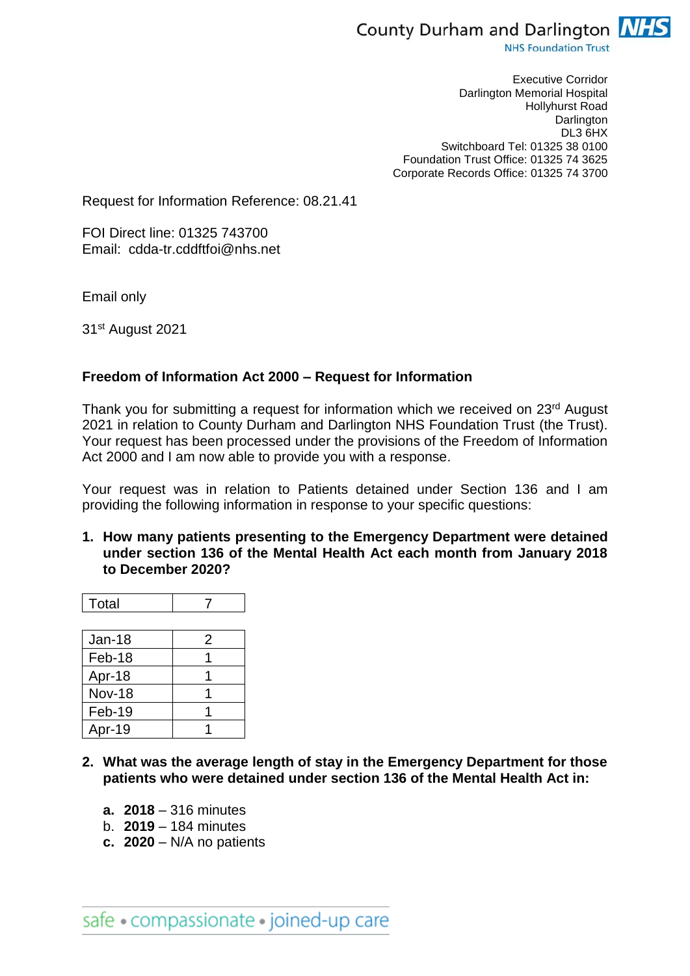

**NHS Foundation Trust** 

Executive Corridor Darlington Memorial Hospital Hollyhurst Road Darlington DL3 6HX Switchboard Tel: 01325 38 0100 Foundation Trust Office: 01325 74 3625 Corporate Records Office: 01325 74 3700

Request for Information Reference: 08.21.41

FOI Direct line: 01325 743700 Email: cdda-tr.cddftfoi@nhs.net

Email only

31st August 2021

## **Freedom of Information Act 2000 – Request for Information**

Thank you for submitting a request for information which we received on 23<sup>rd</sup> August 2021 in relation to County Durham and Darlington NHS Foundation Trust (the Trust). Your request has been processed under the provisions of the Freedom of Information Act 2000 and I am now able to provide you with a response.

Your request was in relation to Patients detained under Section 136 and I am providing the following information in response to your specific questions:

**1. How many patients presenting to the Emergency Department were detained under section 136 of the Mental Health Act each month from January 2018 to December 2020?**

| Total |  |
|-------|--|
|       |  |

| Jan-18        | 2 |
|---------------|---|
| Feb-18        |   |
| Apr-18        |   |
| <b>Nov-18</b> |   |
| Feb-19        |   |
| Apr-19        |   |

- **2. What was the average length of stay in the Emergency Department for those patients who were detained under section 136 of the Mental Health Act in:** 
	- **a. 2018** 316 minutes
	- b. **2019** 184 minutes
	- **c. 2020** N/A no patients

safe · compassionate · joined-up care